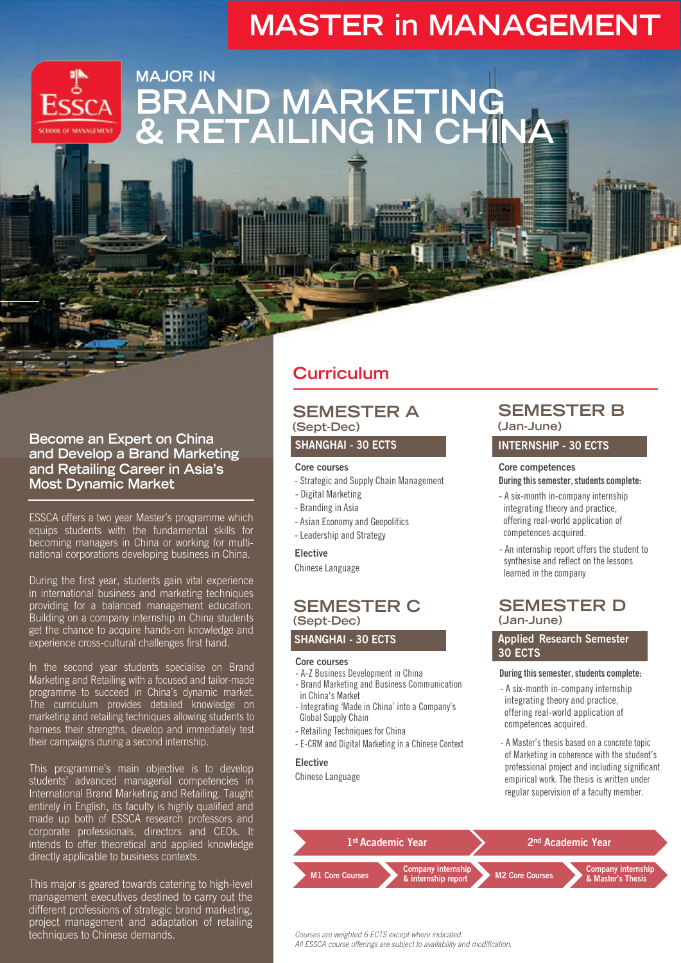# **MASTER in MANAGEMENT**



## **MAJOR IN BRAND MARKETING & RETAILING IN CHINA**

#### **Become an Expert on China and Develop a Brand Marketing and Retailing Career in Asia's Most Dynamic Market**

ESSCA offers a two year Master's programme which equips students with the fundamental skills for becoming managers in China or working for multinational corporations developing business in China.

During the first year, students gain vital experience in international business and marketing techniques providing for a balanced management education. Building on a company internship in China students get the chance to acquire hands-on knowledge and experience cross-cultural challenges first hand.

In the second year students specialise on Brand Marketing and Retailing with a focused and tailor-made programme to succeed in China's dynamic market. The curriculum provides detailed knowledge on marketing and retailing techniques allowing students to harness their strengths, develop and immediately test their campaigns during a second internship.

This programme's main objective is to develop students' advanced managerial competencies in International Brand Marketing and Retailing. Taught entirely in English, its faculty is highly qualified and made up both of ESSCA research professors and corporate professionals, directors and CEOs. It intends to offer theoretical and applied knowledge directly applicable to business contexts.

This major is geared towards catering to high-level management executives destined to carry out the different professions of strategic brand marketing, project management and adaptation of retailing techniques to Chinese demands.

## **Curriculum**

#### **SEMESTER A (Sept-Dec)**

#### SHANGHAI - 30 ECTS

#### Core courses

- Strategic and Supply Chain Management
- Digital Marketing
- Branding in Asia
- Asian Economy and Geopolitics
- Leadership and Strategy

#### Elective

Chinese Language

### **SEMESTER C (Sept-Dec)**

SHANGHAI - 30 ECTS

#### Core courses

- A-Z Business Development in China
- Brand Marketing and Business Communication in China's Market
- Integrating 'Made in China' into a Company's Global Supply Chain
- Retailing Techniques for China
- E-CRM and Digital Marketing in a Chinese Context

#### Elective

Chinese Language

### **SEMESTER B (Jan-June)**

#### INTERNSHIP - 30 ECTS

#### Core competences

During this semester, students complete:

- A six-month in-company internship integrating theory and practice, offering real-world application of competences acquired.
- An internship report offers the student to synthesise and reflect on the lessons learned in the company

### **SEMESTER D (Jan-June)**

#### Applied Research Semester 30 ECTS

#### During this semester, students complete:

- A six-month in-company internship integrating theory and practice, offering real-world application of competences acquired.
- A Master's thesis based on a concrete topic of Marketing in coherence with the student's professional project and including significant empirical work. The thesis is written under regular supervision of a faculty member.



Courses are weighted 6 ECTS except where indicated.

All ESSCA course offerings are subject to availability and modification.